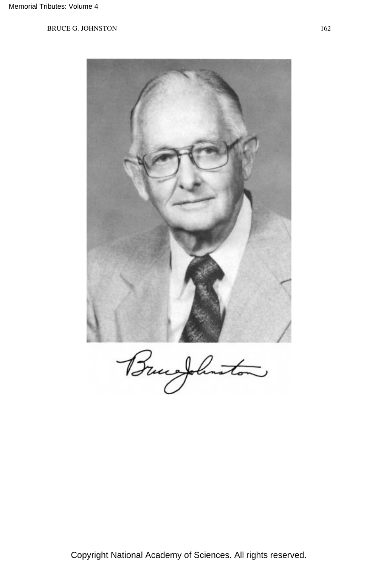

Brucefolinaton

Copyright National Academy of Sciences. All rights reserved.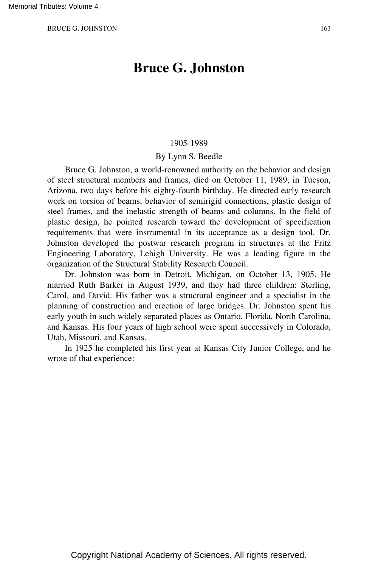# **Bruce G. Johnston**

#### 1905-1989

#### By Lynn S. Beedle

Bruce G. Johnston, a world-renowned authority on the behavior and design of steel structural members and frames, died on October 11, 1989, in Tucson, Arizona, two days before his eighty-fourth birthday. He directed early research work on torsion of beams, behavior of semirigid connections, plastic design of steel frames, and the inelastic strength of beams and columns. In the field of plastic design, he pointed research toward the development of specification requirements that were instrumental in its acceptance as a design tool. Dr. Johnston developed the postwar research program in structures at the Fritz Engineering Laboratory, Lehigh University. He was a leading figure in the organization of the Structural Stability Research Council.

Dr. Johnston was born in Detroit, Michigan, on October 13, 1905. He married Ruth Barker in August 1939, and they had three children: Sterling, Carol, and David. His father was a structural engineer and a specialist in the planning of construction and erection of large bridges. Dr. Johnston spent his early youth in such widely separated places as Ontario, Florida, North Carolina, and Kansas. His four years of high school were spent successively in Colorado, Utah, Missouri, and Kansas.

In 1925 he completed his first year at Kansas City Junior College, and he wrote of that experience: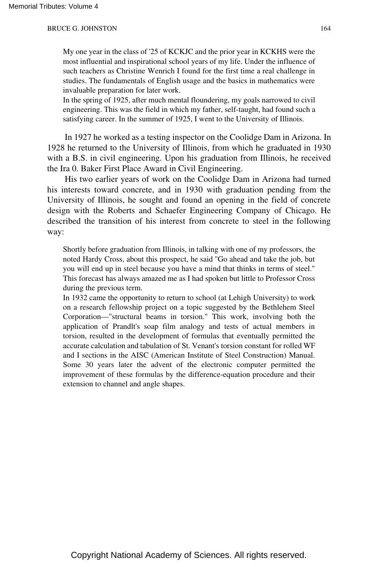My one year in the class of '25 of KCKJC and the prior year in KCKHS were the most influential and inspirational school years of my life. Under the influence of such teachers as Christine Wenrich I found for the first time a real challenge in studies. The fundamentals of English usage and the basics in mathematics were invaluable preparation for later work.

In the spring of 1925, after much mental floundering, my goals narrowed to civil engineering. This was the field in which my father, self-taught, had found such a satisfying career. In the summer of 1925, I went to the University of Illinois.

In 1927 he worked as a testing inspector on the Coolidge Dam in Arizona. In 1928 he returned to the University of Illinois, from which he graduated in 1930 with a B.S. in civil engineering. Upon his graduation from Illinois, he received the Ira 0. Baker First Place Award in Civil Engineering.

His two earlier years of work on the Coolidge Dam in Arizona had turned his interests toward concrete, and in 1930 with graduation pending from the University of Illinois, he sought and found an opening in the field of concrete design with the Roberts and Schaefer Engineering Company of Chicago. He described the transition of his interest from concrete to steel in the following way:

Shortly before graduation from Illinois, in talking with one of my professors, the noted Hardy Cross, about this prospect, he said ''Go ahead and take the job, but you will end up in steel because you have a mind that thinks in terms of steel." This forecast has always amazed me as I had spoken but little to Professor Cross during the previous term.

In 1932 came the opportunity to return to school (at Lehigh University) to work on a research fellowship project on a topic suggested by the Bethlehem Steel Corporation—"structural beams in torsion." This work, involving both the application of Prandlt's soap film analogy and tests of actual members in torsion, resulted in the development of formulas that eventually permitted the accurate calculation and tabulation of St. Venant's torsion constant for rolled WF and I sections in the AISC (American Institute of Steel Construction) Manual. Some 30 years later the advent of the electronic computer permitted the improvement of these formulas by the difference-equation procedure and their extension to channel and angle shapes.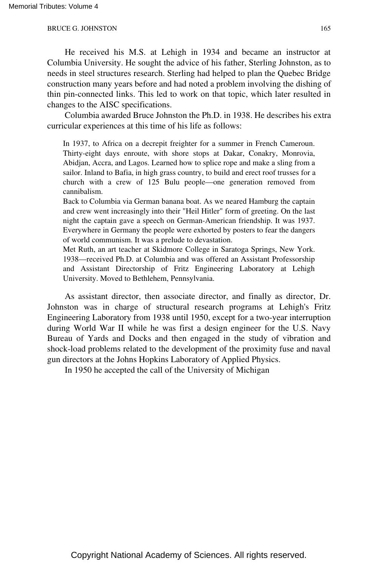He received his M.S. at Lehigh in 1934 and became an instructor at Columbia University. He sought the advice of his father, Sterling Johnston, as to needs in steel structures research. Sterling had helped to plan the Quebec Bridge construction many years before and had noted a problem involving the dishing of thin pin-connected links. This led to work on that topic, which later resulted in changes to the AISC specifications.

Columbia awarded Bruce Johnston the Ph.D. in 1938. He describes his extra curricular experiences at this time of his life as follows:

In 1937, to Africa on a decrepit freighter for a summer in French Cameroun. Thirty-eight days enroute, with shore stops at Dakar, Conakry, Monrovia, Abidjan, Accra, and Lagos. Learned how to splice rope and make a sling from a sailor. Inland to Bafia, in high grass country, to build and erect roof trusses for a church with a crew of 125 Bulu people—one generation removed from cannibalism.

Back to Columbia via German banana boat. As we neared Hamburg the captain and crew went increasingly into their "Heil Hitler" form of greeting. On the last night the captain gave a speech on German-American friendship. It was 1937. Everywhere in Germany the people were exhorted by posters to fear the dangers of world communism. It was a prelude to devastation.

Met Ruth, an art teacher at Skidmore College in Saratoga Springs, New York. 1938—received Ph.D. at Columbia and was offered an Assistant Professorship and Assistant Directorship of Fritz Engineering Laboratory at Lehigh University. Moved to Bethlehem, Pennsylvania.

As assistant director, then associate director, and finally as director, Dr. Johnston was in charge of structural research programs at Lehigh's Fritz Engineering Laboratory from 1938 until 1950, except for a two-year interruption during World War II while he was first a design engineer for the U.S. Navy Bureau of Yards and Docks and then engaged in the study of vibration and shock-load problems related to the development of the proximity fuse and naval gun directors at the Johns Hopkins Laboratory of Applied Physics.

In 1950 he accepted the call of the University of Michigan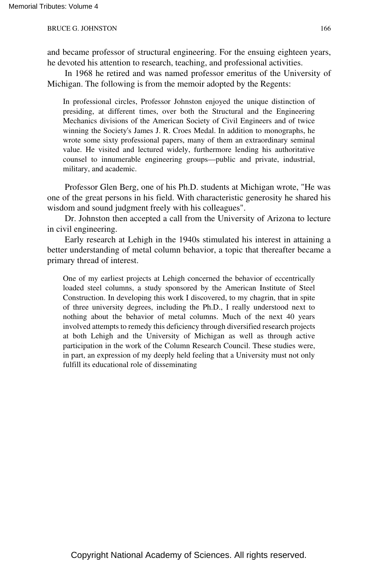and became professor of structural engineering. For the ensuing eighteen years, he devoted his attention to research, teaching, and professional activities.

In 1968 he retired and was named professor emeritus of the University of Michigan. The following is from the memoir adopted by the Regents:

In professional circles, Professor Johnston enjoyed the unique distinction of presiding, at different times, over both the Structural and the Engineering Mechanics divisions of the American Society of Civil Engineers and of twice winning the Society's James J. R. Croes Medal. In addition to monographs, he wrote some sixty professional papers, many of them an extraordinary seminal value. He visited and lectured widely, furthermore lending his authoritative counsel to innumerable engineering groups—public and private, industrial, military, and academic.

Professor Glen Berg, one of his Ph.D. students at Michigan wrote, "He was one of the great persons in his field. With characteristic generosity he shared his wisdom and sound judgment freely with his colleagues".

Dr. Johnston then accepted a call from the University of Arizona to lecture in civil engineering.

Early research at Lehigh in the 1940s stimulated his interest in attaining a better understanding of metal column behavior, a topic that thereafter became a primary thread of interest.

One of my earliest projects at Lehigh concerned the behavior of eccentrically loaded steel columns, a study sponsored by the American Institute of Steel Construction. In developing this work I discovered, to my chagrin, that in spite of three university degrees, including the Ph.D., I really understood next to nothing about the behavior of metal columns. Much of the next 40 years involved attempts to remedy this deficiency through diversified research projects at both Lehigh and the University of Michigan as well as through active participation in the work of the Column Research Council. These studies were, in part, an expression of my deeply held feeling that a University must not only fulfill its educational role of disseminating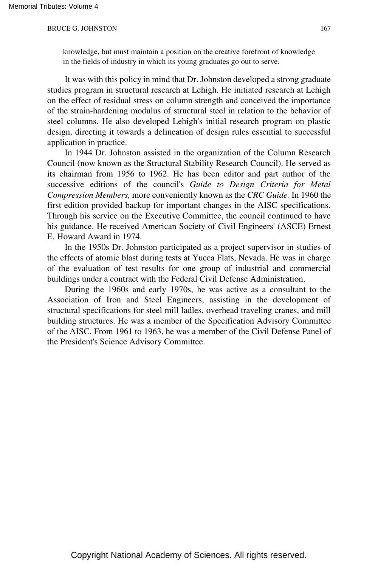It was with this policy in mind that Dr. Johnston developed a strong graduate studies program in structural research at Lehigh. He initiated research at Lehigh on the effect of residual stress on column strength and conceived the importance of the strain-hardening modulus of structural steel in relation to the behavior of steel columns. He also developed Lehigh's initial research program on plastic design, directing it towards a delineation of design rules essential to successful application in practice.

In 1944 Dr. Johnston assisted in the organization of the Column Research Council (now known as the Structural Stability Research Council). He served as its chairman from 1956 to 1962. He has been editor and part author of the successive editions of the council's *Guide to Design Criteria for Metal Compression Members,* more conveniently known as the *CRC Guide.* In 1960 the first edition provided backup for important changes in the AISC specifications. Through his service on the Executive Committee, the council continued to have his guidance. He received American Society of Civil Engineers' (ASCE) Ernest E. Howard Award in 1974.

In the 1950s Dr. Johnston participated as a project supervisor in studies of the effects of atomic blast during tests at Yucca Flats, Nevada. He was in charge of the evaluation of test results for one group of industrial and commercial buildings under a contract with the Federal Civil Defense Administration.

During the 1960s and early 1970s, he was active as a consultant to the Association of Iron and Steel Engineers, assisting in the development of structural specifications for steel mill ladles, overhead traveling cranes, and mill building structures. He was a member of the Specification Advisory Committee of the AISC. From 1961 to 1963, he was a member of the Civil Defense Panel of the President's Science Advisory Committee.